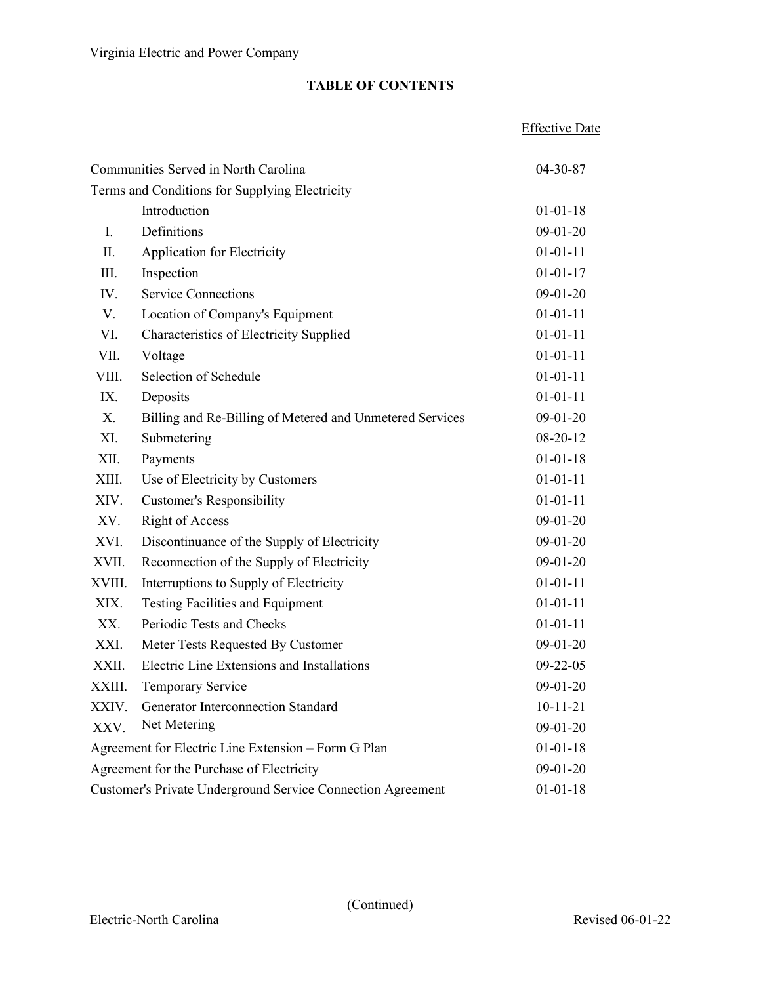|                                                             |                                                          | <b>Effective Date</b> |
|-------------------------------------------------------------|----------------------------------------------------------|-----------------------|
| Communities Served in North Carolina                        |                                                          | 04-30-87              |
|                                                             | Terms and Conditions for Supplying Electricity           |                       |
|                                                             | Introduction                                             | $01 - 01 - 18$        |
| Ι.                                                          | Definitions                                              | $09-01-20$            |
| П.                                                          | Application for Electricity                              | $01 - 01 - 11$        |
| III.                                                        | Inspection                                               | $01 - 01 - 17$        |
| IV.                                                         | <b>Service Connections</b>                               | $09-01-20$            |
| V.                                                          | Location of Company's Equipment                          | $01 - 01 - 11$        |
| VI.                                                         | Characteristics of Electricity Supplied                  | $01 - 01 - 11$        |
| VII.                                                        | Voltage                                                  | $01 - 01 - 11$        |
| VIII.                                                       | Selection of Schedule                                    | $01 - 01 - 11$        |
| IX.                                                         | Deposits                                                 | $01 - 01 - 11$        |
| X.                                                          | Billing and Re-Billing of Metered and Unmetered Services | $09-01-20$            |
| XI.                                                         | Submetering                                              | $08 - 20 - 12$        |
| XII.                                                        | Payments                                                 | $01 - 01 - 18$        |
| XIII.                                                       | Use of Electricity by Customers                          | $01 - 01 - 11$        |
| XIV.                                                        | <b>Customer's Responsibility</b>                         | $01 - 01 - 11$        |
| XV.                                                         | <b>Right of Access</b>                                   | $09-01-20$            |
| XVI.                                                        | Discontinuance of the Supply of Electricity              | $09-01-20$            |
| XVII.                                                       | Reconnection of the Supply of Electricity                | $09-01-20$            |
| XVIII.                                                      | Interruptions to Supply of Electricity                   | $01 - 01 - 11$        |
| XIX.                                                        | <b>Testing Facilities and Equipment</b>                  | $01 - 01 - 11$        |
| XX.                                                         | Periodic Tests and Checks                                | $01 - 01 - 11$        |
| XXI.                                                        | Meter Tests Requested By Customer                        | $09-01-20$            |
| XXII.                                                       | Electric Line Extensions and Installations               | $09 - 22 - 05$        |
| XXIII.                                                      | Temporary Service                                        | $09 - 01 - 20$        |
| XXIV.                                                       | Generator Interconnection Standard                       | $10 - 11 - 21$        |
| XXV.                                                        | Net Metering                                             | $09-01-20$            |
| Agreement for Electric Line Extension - Form G Plan         |                                                          | $01 - 01 - 18$        |
| Agreement for the Purchase of Electricity                   |                                                          | $09-01-20$            |
| Customer's Private Underground Service Connection Agreement |                                                          | $01 - 01 - 18$        |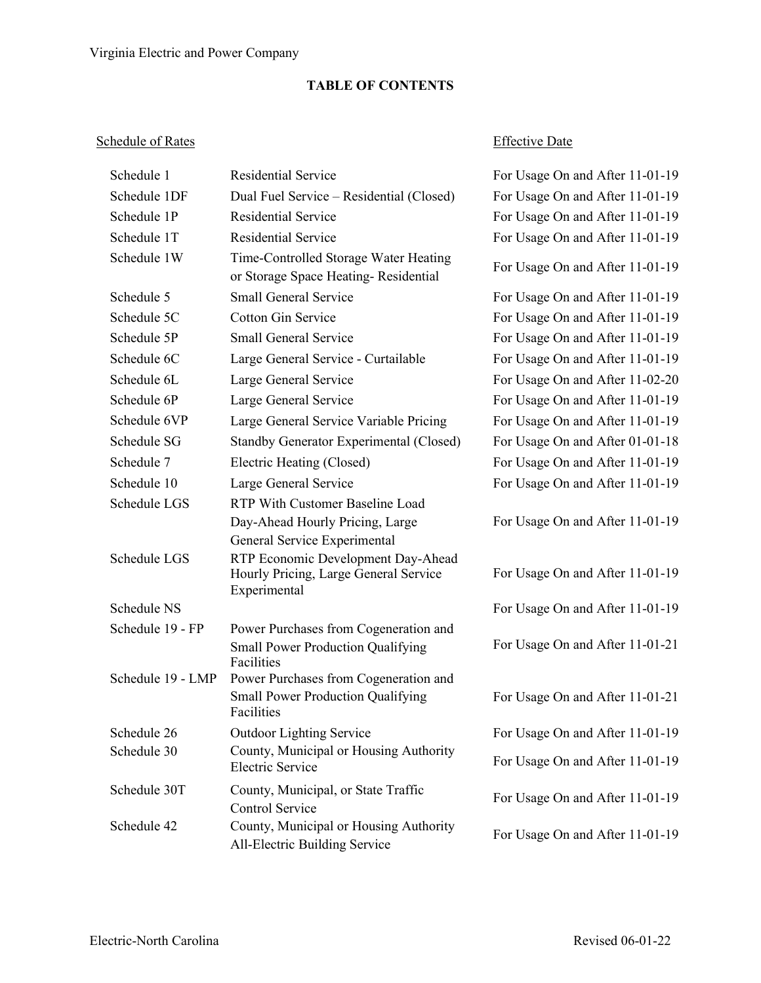## Schedule of Rates Effective Date

| Schedule 1        | <b>Residential Service</b>                                                                      | For Usage On and After 11-01-19 |
|-------------------|-------------------------------------------------------------------------------------------------|---------------------------------|
| Schedule 1DF      | Dual Fuel Service - Residential (Closed)                                                        | For Usage On and After 11-01-19 |
| Schedule 1P       | <b>Residential Service</b>                                                                      | For Usage On and After 11-01-19 |
| Schedule 1T       | <b>Residential Service</b>                                                                      | For Usage On and After 11-01-19 |
| Schedule 1W       | Time-Controlled Storage Water Heating<br>or Storage Space Heating-Residential                   | For Usage On and After 11-01-19 |
| Schedule 5        | <b>Small General Service</b>                                                                    | For Usage On and After 11-01-19 |
| Schedule 5C       | <b>Cotton Gin Service</b>                                                                       | For Usage On and After 11-01-19 |
| Schedule 5P       | <b>Small General Service</b>                                                                    | For Usage On and After 11-01-19 |
| Schedule 6C       | Large General Service - Curtailable                                                             | For Usage On and After 11-01-19 |
| Schedule 6L       | Large General Service                                                                           | For Usage On and After 11-02-20 |
| Schedule 6P       | Large General Service                                                                           | For Usage On and After 11-01-19 |
| Schedule 6VP      | Large General Service Variable Pricing                                                          | For Usage On and After 11-01-19 |
| Schedule SG       | <b>Standby Generator Experimental (Closed)</b>                                                  | For Usage On and After 01-01-18 |
| Schedule 7        | Electric Heating (Closed)                                                                       | For Usage On and After 11-01-19 |
| Schedule 10       | Large General Service                                                                           | For Usage On and After 11-01-19 |
| Schedule LGS      | RTP With Customer Baseline Load                                                                 |                                 |
|                   | Day-Ahead Hourly Pricing, Large                                                                 | For Usage On and After 11-01-19 |
|                   | General Service Experimental                                                                    |                                 |
| Schedule LGS      | RTP Economic Development Day-Ahead<br>Hourly Pricing, Large General Service<br>Experimental     | For Usage On and After 11-01-19 |
| Schedule NS       |                                                                                                 | For Usage On and After 11-01-19 |
| Schedule 19 - FP  | Power Purchases from Cogeneration and<br><b>Small Power Production Qualifying</b><br>Facilities | For Usage On and After 11-01-21 |
| Schedule 19 - LMP | Power Purchases from Cogeneration and<br><b>Small Power Production Qualifying</b>               | For Usage On and After 11-01-21 |
|                   | Facilities                                                                                      |                                 |
| Schedule 26       | <b>Outdoor Lighting Service</b>                                                                 | For Usage On and After 11-01-19 |
| Schedule 30       | County, Municipal or Housing Authority<br><b>Electric Service</b>                               | For Usage On and After 11-01-19 |
| Schedule 30T      | County, Municipal, or State Traffic<br><b>Control Service</b>                                   | For Usage On and After 11-01-19 |
| Schedule 42       | County, Municipal or Housing Authority<br>All-Electric Building Service                         | For Usage On and After 11-01-19 |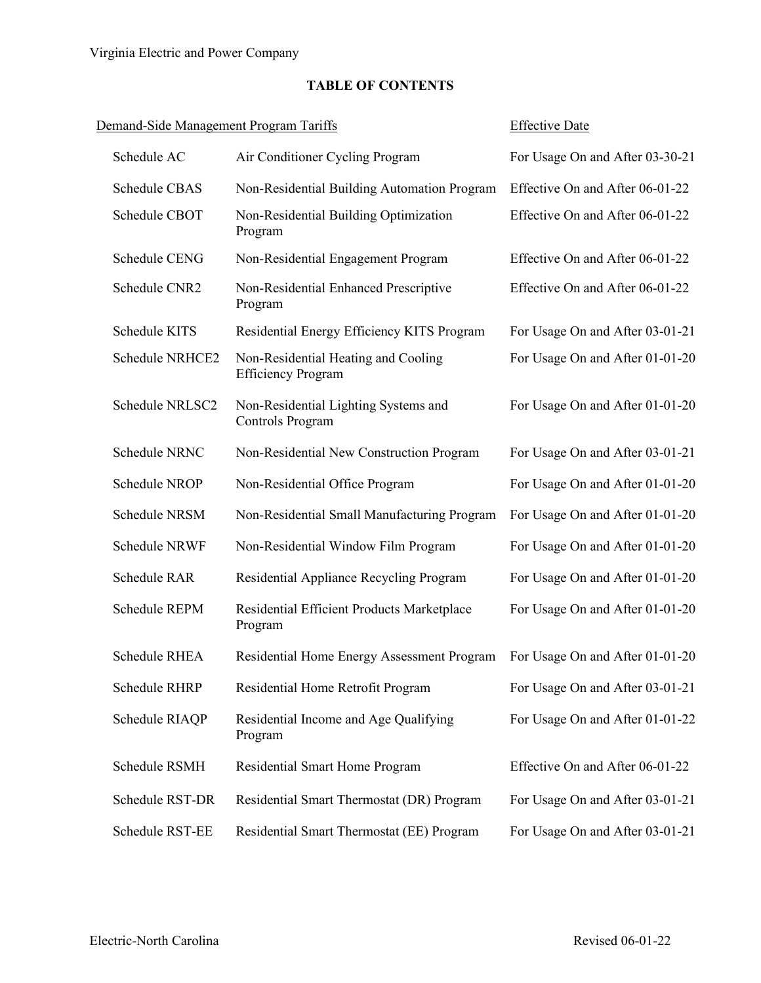# Demand-Side Management Program Tariffs Effective Date Schedule AC Air Conditioner Cycling Program For Usage On and After 03-30-21 Schedule CBAS Non-Residential Building Automation Program Effective On and After 06-01-22 Schedule CBOT Non-Residential Building Optimization Program Effective On and After 06-01-22 Schedule CENG Non-Residential Engagement Program Effective On and After 06-01-22 Schedule CNR2 Non-Residential Enhanced Prescriptive Program Effective On and After 06-01-22 Schedule KITS Residential Energy Efficiency KITS Program For Usage On and After 03-01-21 Schedule NRHCE2 Non-Residential Heating and Cooling Efficiency Program For Usage On and After 01-01-20 Schedule NRLSC2 Non-Residential Lighting Systems and Controls Program For Usage On and After 01-01-20 Schedule NRNC Non-Residential New Construction Program For Usage On and After 03-01-21 Schedule NROP Non-Residential Office Program For Usage On and After 01-01-20 Schedule NRSM Non-Residential Small Manufacturing Program For Usage On and After 01-01-20 Schedule NRWF Non-Residential Window Film Program For Usage On and After 01-01-20 Schedule RAR Residential Appliance Recycling Program For Usage On and After 01-01-20 Schedule REPM Residential Efficient Products Marketplace Program For Usage On and After 01-01-20 Schedule RHEA Residential Home Energy Assessment Program For Usage On and After 01-01-20 Schedule RHRP Residential Home Retrofit Program For Usage On and After 03-01-21 Schedule RIAQP Residential Income and Age Qualifying Program For Usage On and After 01-01-22 Schedule RSMH Residential Smart Home Program Effective On and After 06-01-22 Schedule RST-DR Residential Smart Thermostat (DR) Program For Usage On and After 03-01-21 Schedule RST-EE Residential Smart Thermostat (EE) Program For Usage On and After 03-01-21